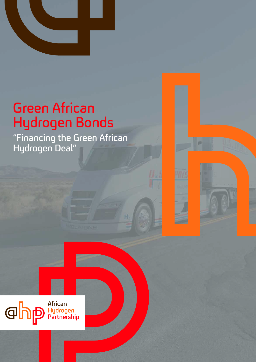

## Green African Hydrogen Bonds

"Financing the Green African Hydrogen Deal"



# **GIDD** African<br>
P Hydrogen<br>
Partnership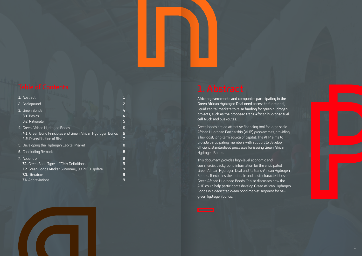African governments and companies participating in the Green African Hydrogen Deal need access to functional, liquid capital markets to raise funding for green hydrogen projects, such as the proposed trans-African hydrogen fuel cell truck and bus routes.

Green bonds are an attractive financing tool for large scale African Hydrogen Partnership (AHP) programmes, providing a low-cost, long-term source of capital. The AHP aims to provide participating members with support to develop efficient, standardized processes for issuing Green African Hydrogen Bonds.

This document provides high-level economic and commercial background information for the anticipated Green African Hydrogen Deal and its trans-African Hydrogen Routes. It explains the rationale and basic characteristics of Green African Hydrogen Bonds. It also discusses how the AHP could help participants develop Green African Hydrogen Bonds in a dedicated green bond market segment for new green hydrogen bonds.

| 1. Abstract                                                 |   |
|-------------------------------------------------------------|---|
| 2. Background                                               | 2 |
| 3. Green Bonds                                              | 4 |
| <b>3.1. Basics</b>                                          | 4 |
| 3.2. Rationale                                              | 5 |
| 4. Green African Hydrogen Bonds                             | 6 |
| 4.1. Green Bond Principles and Green African Hydrogen Bonds | 6 |
| 4.2. Diversification of Risk                                |   |
| 5. Developing the Hydrogen Capital Market                   | 8 |
| <b>6.</b> Concluding Remarks                                | 8 |
| 7. Appendix                                                 | 9 |
| <b>7.1.</b> Green Bond Types - ICMA Definitions             | 9 |
| 7.2. Green Bonds Market Summary, Q3 2018 Update             | 9 |
| 7.3. Literature                                             | 9 |
| 7.4. Abbreviations                                          | 9 |
|                                                             |   |

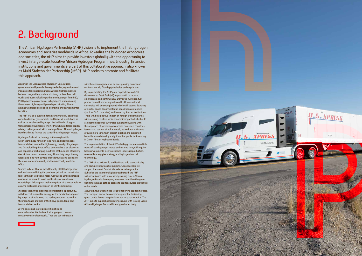## 2. Background

As part of the Green African Hydrogen Deal, African governments will provide the required rules, regulations and incentives for establishing trans-African hydrogen routes between mega-cities, ports and mining centers. Fuel cell trucks and buses refuelling with green hydrogen from P2G/ P2H (power-to-gas or power to hydrogen) stations along those major highways will provide participating African nations with large-scale socio-economic and environmental benefits.

The AHP will be a platform for creating mutually beneficial opportunities for governments and financial institutions as well as renewable and hydrogen fuel cell technology and transportation businesses. The AHP will help address capitalraising challenges and with creating a Green African Hydrogen Bond market to finance the trans-African hydrogen routes.

Hydrogen fuel cell technology is the only feasible green technology for green long-haul and heavy goods transportation, due to the high energy density of hydrogen and fast refuelling times. Africa does not have an electricity grid capable of recharging hundreds of thousands of batteryelectric trucks and buses on long African highways. Heavy goods and long-haul battery-electric trucks and buses are therefore not economically and commercially viable for Africa.

Studies indicate that demand for only 1,000 hydrogen fuel cell trucks would bring the purchase price down to a similar level to that of traditional fossil fuel trucks. Since operating costs can be equal to fossil fuel trucks - or even lower, especially with low green hydrogen prices - it's reasonable to assume profitable projects can be identified quickly.

It's clear that Africa presents a considerable opportunity, with low-cost renewable energy for the production of green hydrogen available along the hydrogen routes, as well as the importance and size of the heavy goods, long-haul transportation sector.

AHP's goals and strategies are holistic and comprehensive. We believe that supply and demand must evolve simultaneously. They are set to increase,

with the encouragement of an ever-growing number of environmentally friendly global rules and regulations.

By implementing the AHP plan, dependence on US\$ denominated fossil fuel (oil) imports will be reduced significantly and continuously. Domestic hydrogen fuel production will produce great wealth. African national currencies will be strengthened which will cause a lowering of risk for bonds denominated in non-African currencies (such as G10 currencies) and issued by African institutions. There will be a positive impact on foreign exchange rates, with a strong positive socio-economic impact which should strengthen national currencies even further. Along with the approach of spreading risk across numerous countries, issuers and sectors simultaneously as well as continuous provision of a long-term project pipeline, the projected benefits should develop a significant appetite for investing in Green African Hydrogen Bonds.

The implementation of the AHP's strategy, to create multiple trans-African hydrogen routes at the same time, will require heavy investments in infrastructure, industrial production, renewable energy technology and hydrogen fuel cell technology.

The AHP aims to identify and facilitate only economically and commercially feasible projects. Consequently, we support the use of Capital Markets for raising capital. Subsidies are intentionally ignored: instead, the AHP will assist Africa with successfully issuing Green African Hydrogen Bonds, developing a new sector within the green bond market and getting access to capital sources previously out of reach.

Industrial revolutions need large functioning capital markets. The transport sector has enormous potential for issuing green bonds. Issuers require low-cost, long term capital. The AHP aims to support participating issuers with issuing Green African Hydrogen Bonds efficiently and effectively.



The African Hydrogen Partnership (AHP) vision is to implement the first hydrogen economies and societies worldwide in Africa. To realize the hydrogen economies and societies, the AHP aims to provide investors globally with the opportunity to invest in large-scale, lucrative African Hydrogen Programmes. Industry, financial institutions and governments are part of this collaborative approach, also known as Multi Stakeholder Partnership (MSP). AHP seeks to promote and facilitate this approach.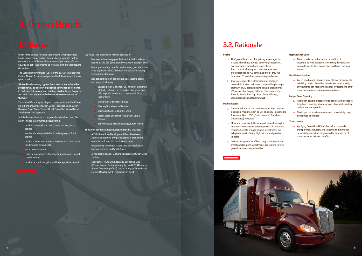![](_page_3_Picture_47.jpeg)

## 3.2. Rationale

### **Pricing**

- The "green" label can offer pricing advantages for issuers. There have already been very successful, oversubscribed green bond issues: Cape Town municipality's green bond issuance was oversubscribed by 4.3 times and it took only two hours and 29 investors to make required offers
- Investors' appetite is still increasing. Barclays' research indicates that investors are willing to pay a premium of 20 basis points to acquire green bonds ("Investors Are Paying Extra for Environmentally Friendly Bonds, Barclays Says", Tracy Alloway, Bloomberg, 18th September 2015)

### **Market Access**

o Green bonds can enhance the reputation of investors as well as issuers, since they demonstrate commitment to the environment and have a positive impact

- Green bonds can attract new investors from outside traditional markets, such as SRI (Socially Responsible Investment) and ESG (Environmental, Social and Governance) investors.
- More and more institutional investors are looking for long-term investments in green projects in emerging markets. Climate change-related investments are in high demand, offering high returns and positive impacts
- An increasing number of bond buyers with minimum thresholds for green investments are looking for new green investment opportunities

## **Reputational Gains**

### **Risk Diversification**

 Green bond markets have shown stronger resilience to volatility, due to diversified investments and novelty. Investments can reduce the risk for investors and offer more favourable risk-return combinations

### **Longer Term Stability**

- has seen astonishing growth since the first bond was issued by the EIB (European Investment Bank) in 2007
- $\blacksquare$  has approximately doubled in size every year since then (see appendix: Q3 2018 Global Market Summary by Green Bonds Initiative)
- has dedicated green bond sections at leading stock exchanges, including
	- London Stock Exchange, UK the first exchange globally to launch a comprehensive green bond offering with a dedicated segment for these instruments
	- Oslo Stock Exchange, Norway
	- Nasdaq Stockholm in Sweden
	- Shanghai Stock Exchange, China
	- Taipei Stock Exchange, Republic of China (Taiwan)
	- Johannesburg Stock Exchange, South Africa

 $\overline{1}$  The green bond market is developing steadily in Africa:

- The green bond market provides issuers with access to long-term financing which supports financial stability and continuous growth
- The impact of short-term economic uncertainty may be reduced or avoided

### **Transparency**

 Applying Green Bond Principles helps to provide transparency, accuracy, and integrity of information - especially important for gaining the confidence of more investors to invest in Africa

Green Finance uses financial instruments whose proceeds fund environmental and/or climate change projects. In this context, the term "financial instruments" primarily refers to equity and debt instruments as well as credit and interest rate derivatives.

The Green Bond Principles (GBP) of the ICMA (International Capital Market Association) provide the following definition of green bonds:

**"Green Bonds are any type of bond instrument where the proceeds will be exclusively applied to finance or refinance, in part or in full, new and/or existing eligible Green Projects and which are aligned with the four core components of the GBP."** 

There are different types of green bonds available. The ICMA's definitions of Standard Green Use of Proceeds Bond, Green Revenue Bond, Green Project Bond, Green Securitised Bond are shown in the Appendix.

In this document we focus on green bonds rather than other green finance instruments, because they:

- provide issuers with access to low-cost long-term capital
- are therefore most suitable for raising high upfront capital
- provide a wider investor base in comparison with other fixed income instruments
- attract new investors
- could be issued internationally if eligibility and market criteria are met
- provide reputational gains and have a positive impact

We favour the green bond market because it:

- AfDB (the African Development Bank) has been actively supporting and participating in green bond market development since its early days
- Green bonds have been issued very successfully in Nigeria, Morocco and South Africa
- Johannesburg Stock Exchange has its own Green Bond section
- In Nigeria, FMDQ OTC Securities Exchange, CBI (Convention on Business Integrity) and FSD (Financial Sector Deepening Africa) started a 3-year Green Bond Market Development Programme in 2018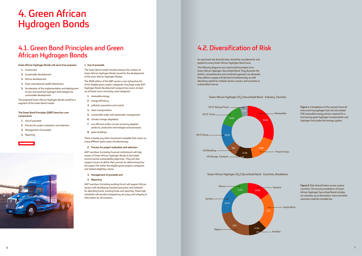## 4.1. Green Bond Principles and Green African Hydrogen Bonds

## 4.2. Diversification of Risk

An optimized risk diversification should be considered for and applied to every Green African Hydrogen Bond issue.

The following diagrams are constructed examples of an Green African Hydrogen Securitized Bond. They illustrate the holistic, comprehensive and combined approach we advocate: they address supply and demand simultaneously, as well allocating capital to multiple sectors, issuers, and countries in a diversified manner.

## **Green African Hydrogen Bonds will serve five purposes:**

- **1.** Investment
- **2.** Sustainable development
- **3.** African development
- **4.** Fairer international wealth distribution
- **5.** Acceleration of the implementation and deployment of new and essential hydrogen technologies for sustainable development

The proposed Green African Hydrogen Bonds would be a segment of the Green Bond market.

## **The Green Bond Principles (GBP) have four core components:**

- **1.** Use of proceeds
- **2.** Process for project evaluation and selection
- **3.** Management of proceeds
- **4.** Reporting

![](_page_4_Picture_14.jpeg)

### **1. Use of proceeds**

The Green Bond market should embrace the creation of Green African Hydrogen Bonds issued for the development of the trans-African Hydrogen Routes.

The 2018 edition of the GBP names a non-exhaustive list of ten eligible green project categories. Any large-scale AHP Hydrogen Route Development programme covers at least six of these most commonly used categories:

- **1.** renewable energy
- **2.** energy efficiency
- **3.** pollution prevention and control
- **4.** clean transportation
- **5.** sustainable water and wastewater management
- **6.** climate change adaptation
- **7.** eco-efficient and/or circular economy adapted products, production technologies and processes
- **8.** green buildings

There is hardly any other investment available that covers so many different green areas simultaneously.

### **2. Process for project evaluation and selection**

AHP members (including financial institutions) will help issuers of Green African Hydrogen Bonds to formulate environmental sustainability objectives. They will also support issuers to define their process for determining how the project fits within the eligible green projects categories and related eligibility criteria.

- **3. Management of proceeds and**
- **4. Reporting**

AHP members (including auditing firms) will support African issuers with developing standard processes and methods for allocating funds, tracking funds and reporting. These high standards will provide transparency, accuracy and integrity of information for all investors.

## 4. Green African Hydrogen Bonds

**Figure 1:** A breakdown of the sample financial instrument by hydrogen fuel cell and related P2G renewable energy sectors required for a functioning green hydrogen transportation and hydrogen fuel production energy system.

**Figure 2:** Risk diversification across various countries. The country breakdown of Green African Hydrogen Securitized Bond includes six countries as an illustration: more and other countries could be included too.

![](_page_4_Figure_36.jpeg)

## Green African Hydrogen (H<sub>2</sub>) Securitized Bond - Industry, Tranches

![](_page_4_Figure_39.jpeg)

![](_page_4_Figure_40.jpeg)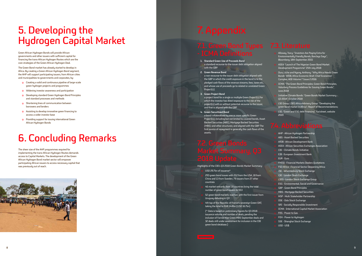Green African Hydrogen Bonds will provide African governments and other issuers with sufficient capital for financing the trans-African Hydrogen Routes which are the core strategies of the Green African Hydrogen Deal.

The Green Bond market has already started to develop in Africa. By creating a Green African Hydrogen Bond segment, the AHP will support participating issuers, from African cities and municipalities to governments and corporates, by:

- Creating a solid and continuous pipeline of large-scale green hydrogen projects and programmes
- **o** Widening investor awareness and participation
- Developing standard Green Hydrogen Bond Principles and standard processes and methods
- Shortening lines of communication between borrowers and lenders
- Assisting to develop innovative green financing to access a wider investor base
- Providing support for issuing international Green African Hydrogen Bonds

## 5. Developing the Hydrogen Capital Market

The sheer size of the AHP programmes required for implementing the trans-African Hydrogen Routes demands access to Capital Markets. The development of the Green African Hydrogen Bond market sector will empower participating African issuers to access necessary capital that was previously out of reach.

![](_page_5_Picture_11.jpeg)

## 6. Concluding Remarks

## - ICMA Definitions

- **1. Standard Green Use of Proceeds Bond** a standard recourse-to-the-issuer debt obligation aligned with the GBP.
- **2. Green Revenue Bond**

a non-recourse-to-the issuer debt obligation aligned with the GBP in which the credit exposure in the bond is to the pledged cash flows of the revenue streams, fees, taxes etc., and whose use of proceeds go to related or unrelated Green Project(s).

**3. Green Project Bond**

 a project bond for a single or multiple Green Project(s) for which the investor has direct exposure to the risk of the project(s) with or without potential recourse to the issuer, and that is aligned with the GBP.

**4. Green Securitized Bond**

a bond collateralized by one or more specific Green Project(s), including but not limited to covered bonds, Asset Backed Securities (ABS), Mortgage Backed Securities (MBS) and other structures; and aligned with the GBP. The first source of repayment is generally the cash flows of the assets.

Highlights of the CBI's Q3 2018 Green Bonds Market Summary:

- USD 29.7bn of issuance\*
- 293 green bond issues with 212 from the USA, 18 from China and 13 from Sweden, 79 issuers from 27 other countries
- 46 market entrants from 18 countries bring the total number of green bond issuers to 553
- 52 green bond markets reached, with the first issuer from Uruguay debuting in Q3
- 4th tap of the Republic of France's sovereign Green OAT, taking the total to EUR 14.8bn (USD 16.7bn)

(\* Data is based on preliminary figures for Q3 2018 issuance volume and number of deals, pending the inclusion of Fannie Mae Green MBS September deals and 32 deals still under assessment for inclusion in the CBI green bond database.)

- Alloway, Tracy: "Investors Are Paying Extra for Environmentally Friendly Bonds, Barclays Says"; Bloomberg; 18th September 2015
- ASEA: "Launch of The Nigerian Green Bond Market Development Programme" 25th July 2018
- Duru, Uche and Nyong, Anthony: "Why Africa Needs Green Bonds" AfDB, Africa Economic Brief; Chief Economist Complex, AEB Volume 7 Issue 2 2016
- ICMA: "The Green Bond Principles; Green Bond Principles, Voluntary Process Guidelines for Issuing Green Bonds", June 2018
- Initiative Climate Bonds: "Green Bonds Market Summary Q3 2018", October 2018

 LSE Group, LSEG Africa Advisory Group: "Developing the green bond market in Africa"; Report of Recommendations;

 LSE: "Green and ESG debt financing", Factsheet, website 2019

- AHP African Hydrogen Partnership
- ABS Asset Backed Securities
- AfDB African Development Bank
- ASEA African Securities Exchanges Association
- CBI Climate Bonds Initiative
- EIB European Investment Bank
- EUR Euro
- FMDQ Financial Markets Dealers Quotations
- FSD Africa Financial Sector Deepening Africa
- JSE Johannesburg Stock Exchange
- LSE London Stock Exchange
- LSEG London Stock Exchange Group
- ESG Environmental, Social and Governance
- GBP Green Bond Principles
- MBS Mortgage Backed Securities
- MSP Multi Stakeholder Partnership
- OSE Oslo Stock Exchange
- SRI Socially Responsible Investment
- ICMA International Capital Market Association
- P2G Power to Gas
- P2H Power to Hydrogen
- SSE Shanghai Stock Exchange
- USD US\$